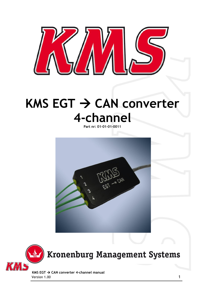

## **KMS EGT → CAN converter 4-channel**

**Part nr: 01-01-01-0011**





## **Kronenburg Management Systems**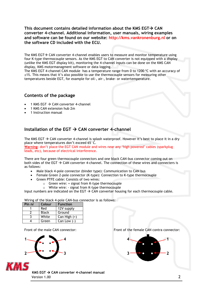**This document contains detailed information about the KMS EGT CAN converter 4-channel. Additional information, user manuals, wiring examples and software can be found on our website: http://kms.vankronenburg.nl or on the software CD included with the ECU.** 

The KMS EGT $\rightarrow$  CAN converter 4-channel enables users to measure and monitor temperature using four K-type thermocouple sensors. As the KMS EGT to CAN converter is not equipped with a display (unlike the KMS EGT display kit), monitoring the 4-channel inputs can be done on the KMS CAN display, KMS motormanagment software or data logging.

The KMS EGT 4-channel CAN module has a temperature range from 0 to 1200 ºC with an accuracy of ±1%. This means that it's also possible to use the thermocouple sensors for measuring other temperatures beside EGT, for example for oil-, air-, brake- or watertemperature.

## **Contents of the package**

- 1 KMS EGT  $\rightarrow$  CAN converter 4-channel
- 1 KMS CAN extension hub 2m
- 1 Instruction manual

## **Installation of the EGT CAN converter 4-channel**

The KMS EGT  $\rightarrow$  CAN converter 4-channel is splash waterproof. However it's best to place it in a dry place where temperatures don't exceed 65°C.

**Warning**: don't place the EGT CAN module and wires near any 'high powered' cables (sparkplug leads, etc), because of electrical interference.

There are four green thermocouple connectors and one black CAN-bus connector coming out on both sides of the EGT  $\rightarrow$  CAN converter 4-channel. The connection of these wires and connecters is as follows:

- Male black 4-pole connector (binder type): Communication to CAN bus
- Female Green 2-pole connector (K-type): Connection to K-type thermocouple
	- Green PTFE cable: Consists of two wires:
		- o Green wire: + signal from K-type thermocouple
		- o White wire: signal from K-type thermocouple

Input numbers are indicated on the EGT  $\rightarrow$  CAN converter housing for each thermocouple cable.

Wiring of the black 4-pole CAN-bus connector is as follows:

| Pin nr | Colour       | <b>Function</b> |
|--------|--------------|-----------------|
|        | Red          | 12V supply      |
|        | <b>Black</b> | Ground          |
|        | White        | Can High $(+)$  |
|        | Green        | Can Low $(-)$   |





**KMS EGT → CAN converter 4-channel manual** Version 1.00 2

Front of the male CAN connector: Front of the female CAN contra connector: